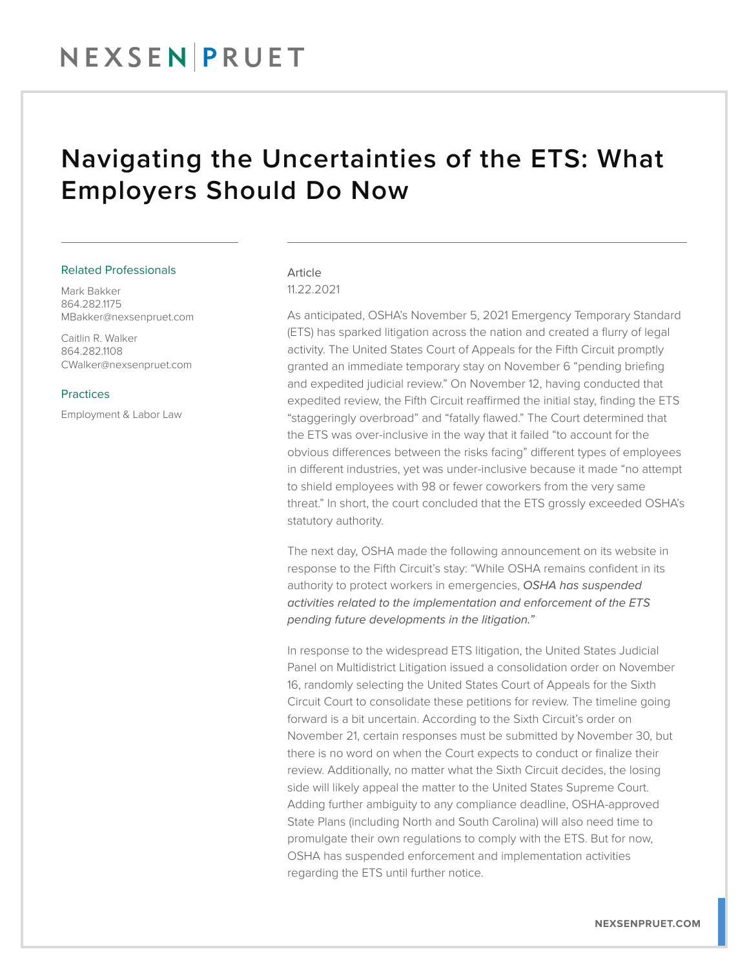## Navigating the Uncertainties of the ETS: What Employers Should Do Now

#### Related Professionals

Mark Bakker 864.282.1175 MBakker@nexsenpruet.com

Caitlin R. Walker 864.282.1108 CWalker@nexsenpruet.com

#### **Practices**

Employment & Labor Law

### Article 11.22.2021

As anticipated, OSHA's November 5, 2021 Emergency Temporary Standard (ETS) has sparked litigation across the nation and created a flurry of legal activity. The United States Court of Appeals for the Fifth Circuit promptly granted an immediate temporary stay on November 6 "pending briefing and expedited judicial review." On November 12, having conducted that expedited review, the Fifth Circuit reaffirmed the initial stay, finding the ETS "staggeringly overbroad" and "fatally flawed." The Court determined that the ETS was over-inclusive in the way that it failed "to account for the obvious differences between the risks facing" different types of employees in different industries, yet was under-inclusive because it made "no attempt to shield employees with 98 or fewer coworkers from the very same threat." In short, the court concluded that the ETS grossly exceeded OSHA's statutory authority.

The next day, OSHA made the following announcement on its website in response to the Fifth Circuit's stay: "While OSHA remains confident in its authority to protect workers in emergencies, *OSHA has suspended activities related to the implementation and enforcement of the ETS pending future developments in the litigation."*

In response to the widespread ETS litigation, the United States Judicial Panel on Multidistrict Litigation issued a consolidation order on November 16, randomly selecting the United States Court of Appeals for the Sixth Circuit Court to consolidate these petitions for review. The timeline going forward is a bit uncertain. According to the Sixth Circuit's order on November 21, certain responses must be submitted by November 30, but there is no word on when the Court expects to conduct or finalize their review. Additionally, no matter what the Sixth Circuit decides, the losing side will likely appeal the matter to the United States Supreme Court. Adding further ambiguity to any compliance deadline, OSHA-approved State Plans (including North and South Carolina) will also need time to promulgate their own regulations to comply with the ETS. But for now, OSHA has suspended enforcement and implementation activities regarding the ETS until further notice.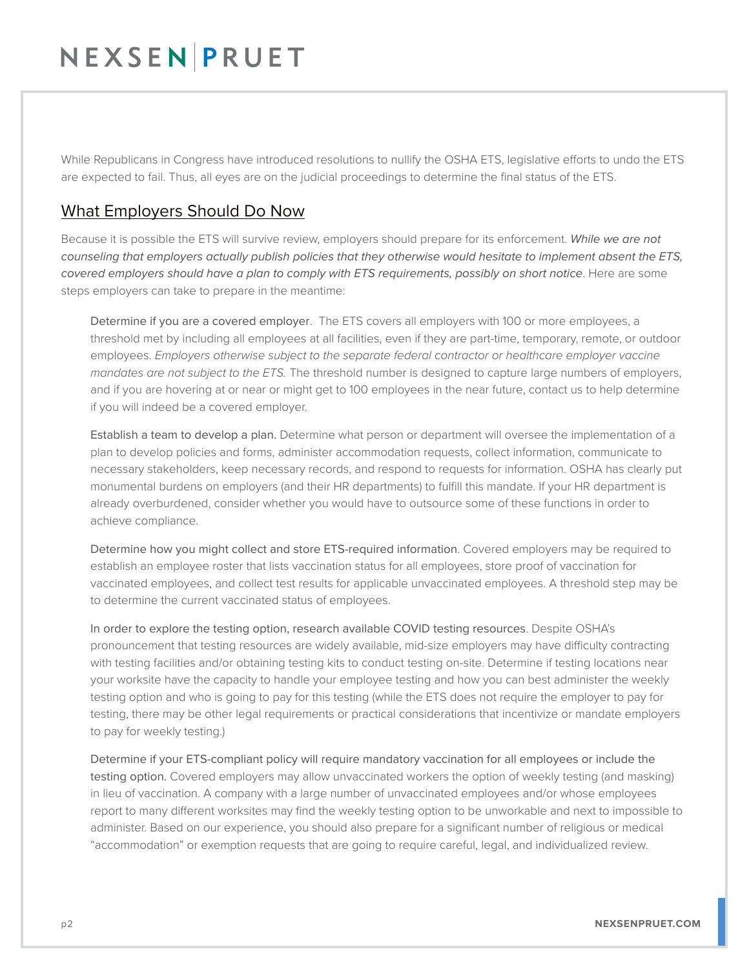## NEXSENPRUET

While Republicans in Congress have introduced resolutions to nullify the OSHA ETS, legislative efforts to undo the ETS are expected to fail. Thus, all eyes are on the judicial proceedings to determine the final status of the ETS.

### What Employers Should Do Now

Because it is possible the ETS will survive review, employers should prepare for its enforcement. *While we are not counseling that employers actually publish policies that they otherwise would hesitate to implement absent the ETS, covered employers should have a plan to comply with ETS requirements, possibly on short notice*. Here are some steps employers can take to prepare in the meantime:

Determine if you are a covered employer. The ETS covers all employers with 100 or more employees, a threshold met by including all employees at all facilities, even if they are part-time, temporary, remote, or outdoor employees. *Employers otherwise subject to the separate federal contractor or healthcare employer vaccine mandates are not subject to the ETS.* The threshold number is designed to capture large numbers of employers, and if you are hovering at or near or might get to 100 employees in the near future, contact us to help determine if you will indeed be a covered employer.

Establish a team to develop a plan. Determine what person or department will oversee the implementation of a plan to develop policies and forms, administer accommodation requests, collect information, communicate to necessary stakeholders, keep necessary records, and respond to requests for information. OSHA has clearly put monumental burdens on employers (and their HR departments) to fulfill this mandate. If your HR department is already overburdened, consider whether you would have to outsource some of these functions in order to achieve compliance.

Determine how you might collect and store ETS-required information. Covered employers may be required to establish an employee roster that lists vaccination status for all employees, store proof of vaccination for vaccinated employees, and collect test results for applicable unvaccinated employees. A threshold step may be to determine the current vaccinated status of employees.

In order to explore the testing option, research available COVID testing resources. Despite OSHA's pronouncement that testing resources are widely available, mid-size employers may have difficulty contracting with testing facilities and/or obtaining testing kits to conduct testing on-site. Determine if testing locations near your worksite have the capacity to handle your employee testing and how you can best administer the weekly testing option and who is going to pay for this testing (while the ETS does not require the employer to pay for testing, there may be other legal requirements or practical considerations that incentivize or mandate employers to pay for weekly testing.)

Determine if your ETS-compliant policy will require mandatory vaccination for all employees or include the testing option. Covered employers may allow unvaccinated workers the option of weekly testing (and masking) in lieu of vaccination. A company with a large number of unvaccinated employees and/or whose employees report to many different worksites may find the weekly testing option to be unworkable and next to impossible to administer. Based on our experience, you should also prepare for a significant number of religious or medical "accommodation" or exemption requests that are going to require careful, legal, and individualized review.